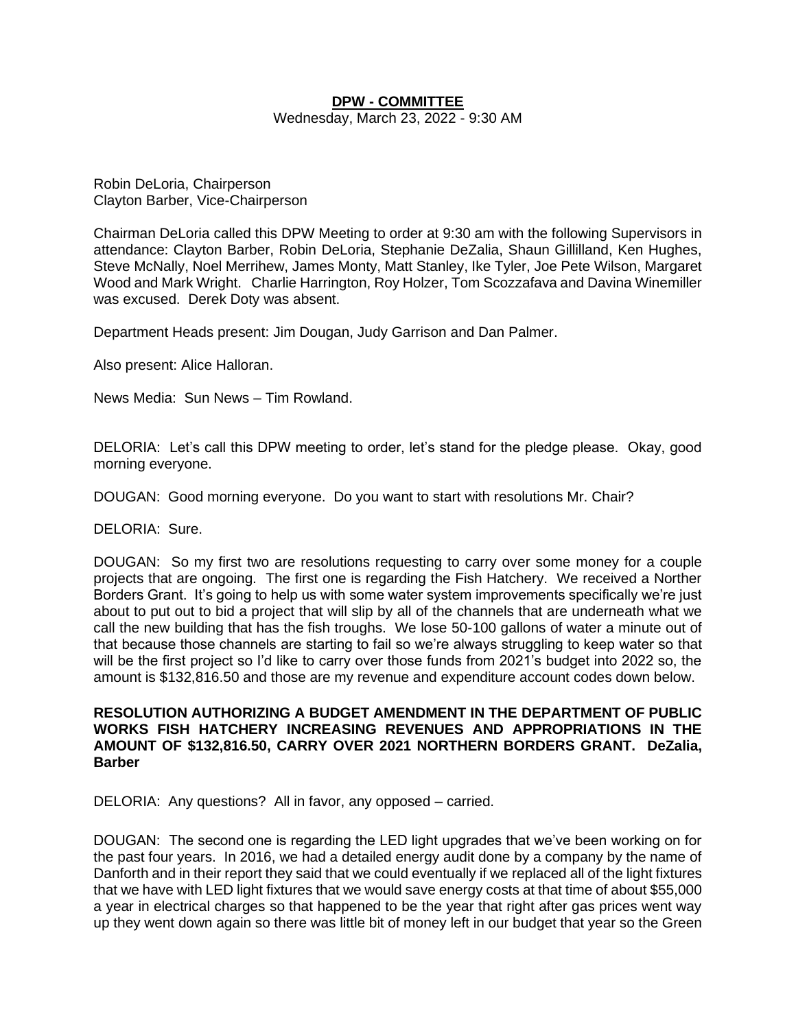## **DPW - COMMITTEE**

Wednesday, March 23, 2022 - 9:30 AM

Robin DeLoria, Chairperson Clayton Barber, Vice-Chairperson

Chairman DeLoria called this DPW Meeting to order at 9:30 am with the following Supervisors in attendance: Clayton Barber, Robin DeLoria, Stephanie DeZalia, Shaun Gillilland, Ken Hughes, Steve McNally, Noel Merrihew, James Monty, Matt Stanley, Ike Tyler, Joe Pete Wilson, Margaret Wood and Mark Wright. Charlie Harrington, Roy Holzer, Tom Scozzafava and Davina Winemiller was excused. Derek Doty was absent.

Department Heads present: Jim Dougan, Judy Garrison and Dan Palmer.

Also present: Alice Halloran.

News Media: Sun News – Tim Rowland.

DELORIA: Let's call this DPW meeting to order, let's stand for the pledge please. Okay, good morning everyone.

DOUGAN: Good morning everyone. Do you want to start with resolutions Mr. Chair?

DELORIA: Sure.

DOUGAN: So my first two are resolutions requesting to carry over some money for a couple projects that are ongoing. The first one is regarding the Fish Hatchery. We received a Norther Borders Grant. It's going to help us with some water system improvements specifically we're just about to put out to bid a project that will slip by all of the channels that are underneath what we call the new building that has the fish troughs. We lose 50-100 gallons of water a minute out of that because those channels are starting to fail so we're always struggling to keep water so that will be the first project so I'd like to carry over those funds from 2021's budget into 2022 so, the amount is \$132,816.50 and those are my revenue and expenditure account codes down below.

# **RESOLUTION AUTHORIZING A BUDGET AMENDMENT IN THE DEPARTMENT OF PUBLIC WORKS FISH HATCHERY INCREASING REVENUES AND APPROPRIATIONS IN THE AMOUNT OF \$132,816.50, CARRY OVER 2021 NORTHERN BORDERS GRANT. DeZalia, Barber**

DELORIA: Any questions? All in favor, any opposed – carried.

DOUGAN: The second one is regarding the LED light upgrades that we've been working on for the past four years. In 2016, we had a detailed energy audit done by a company by the name of Danforth and in their report they said that we could eventually if we replaced all of the light fixtures that we have with LED light fixtures that we would save energy costs at that time of about \$55,000 a year in electrical charges so that happened to be the year that right after gas prices went way up they went down again so there was little bit of money left in our budget that year so the Green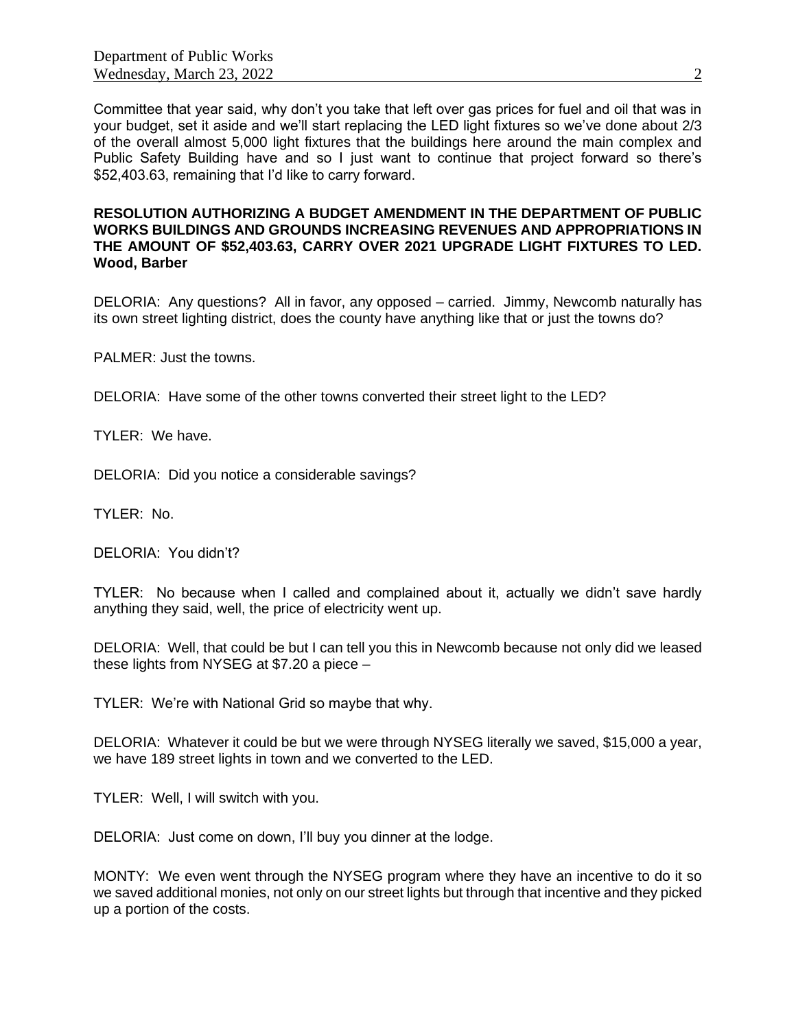Committee that year said, why don't you take that left over gas prices for fuel and oil that was in your budget, set it aside and we'll start replacing the LED light fixtures so we've done about 2/3 of the overall almost 5,000 light fixtures that the buildings here around the main complex and Public Safety Building have and so I just want to continue that project forward so there's \$52,403.63, remaining that I'd like to carry forward.

#### **RESOLUTION AUTHORIZING A BUDGET AMENDMENT IN THE DEPARTMENT OF PUBLIC WORKS BUILDINGS AND GROUNDS INCREASING REVENUES AND APPROPRIATIONS IN THE AMOUNT OF \$52,403.63, CARRY OVER 2021 UPGRADE LIGHT FIXTURES TO LED. Wood, Barber**

DELORIA: Any questions? All in favor, any opposed – carried. Jimmy, Newcomb naturally has its own street lighting district, does the county have anything like that or just the towns do?

PALMER: Just the towns.

DELORIA: Have some of the other towns converted their street light to the LED?

TYLER: We have.

DELORIA: Did you notice a considerable savings?

TYLER: No.

DELORIA: You didn't?

TYLER: No because when I called and complained about it, actually we didn't save hardly anything they said, well, the price of electricity went up.

DELORIA: Well, that could be but I can tell you this in Newcomb because not only did we leased these lights from NYSEG at \$7.20 a piece –

TYLER: We're with National Grid so maybe that why.

DELORIA: Whatever it could be but we were through NYSEG literally we saved, \$15,000 a year, we have 189 street lights in town and we converted to the LED.

TYLER: Well, I will switch with you.

DELORIA: Just come on down, I'll buy you dinner at the lodge.

MONTY: We even went through the NYSEG program where they have an incentive to do it so we saved additional monies, not only on our street lights but through that incentive and they picked up a portion of the costs.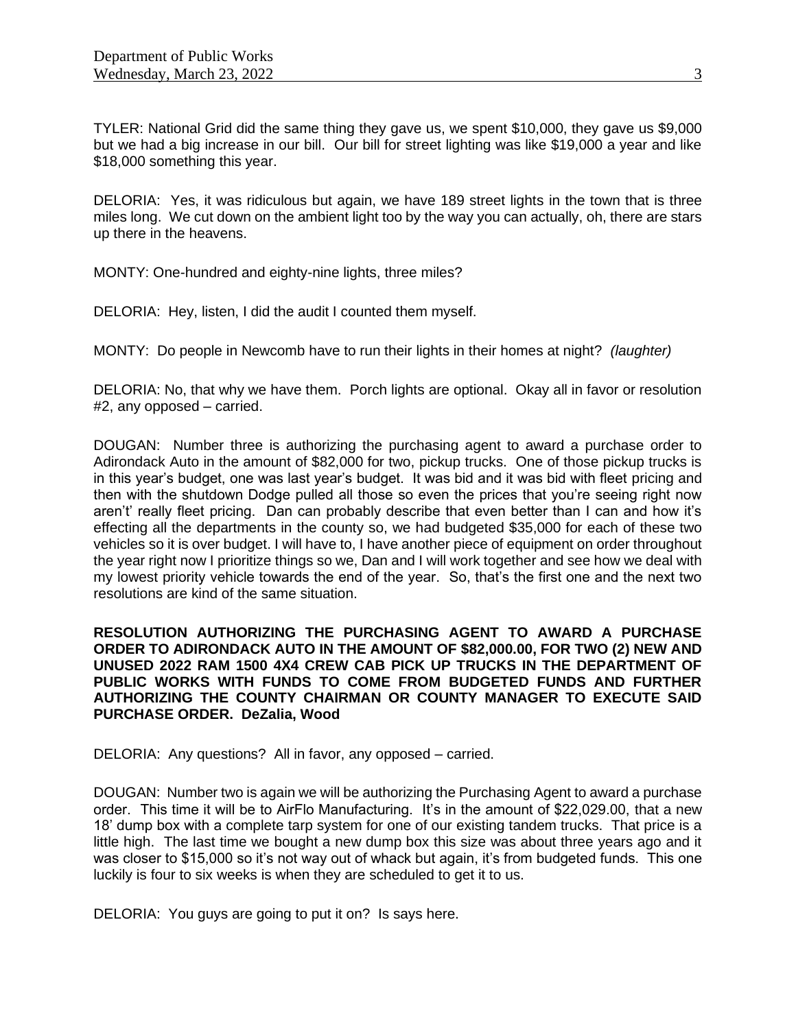TYLER: National Grid did the same thing they gave us, we spent \$10,000, they gave us \$9,000 but we had a big increase in our bill. Our bill for street lighting was like \$19,000 a year and like \$18,000 something this year.

DELORIA: Yes, it was ridiculous but again, we have 189 street lights in the town that is three miles long. We cut down on the ambient light too by the way you can actually, oh, there are stars up there in the heavens.

MONTY: One-hundred and eighty-nine lights, three miles?

DELORIA: Hey, listen, I did the audit I counted them myself.

MONTY: Do people in Newcomb have to run their lights in their homes at night? *(laughter)*

DELORIA: No, that why we have them. Porch lights are optional. Okay all in favor or resolution #2, any opposed – carried.

DOUGAN: Number three is authorizing the purchasing agent to award a purchase order to Adirondack Auto in the amount of \$82,000 for two, pickup trucks. One of those pickup trucks is in this year's budget, one was last year's budget. It was bid and it was bid with fleet pricing and then with the shutdown Dodge pulled all those so even the prices that you're seeing right now aren't' really fleet pricing. Dan can probably describe that even better than I can and how it's effecting all the departments in the county so, we had budgeted \$35,000 for each of these two vehicles so it is over budget. I will have to, I have another piece of equipment on order throughout the year right now I prioritize things so we, Dan and I will work together and see how we deal with my lowest priority vehicle towards the end of the year. So, that's the first one and the next two resolutions are kind of the same situation.

**RESOLUTION AUTHORIZING THE PURCHASING AGENT TO AWARD A PURCHASE ORDER TO ADIRONDACK AUTO IN THE AMOUNT OF \$82,000.00, FOR TWO (2) NEW AND UNUSED 2022 RAM 1500 4X4 CREW CAB PICK UP TRUCKS IN THE DEPARTMENT OF PUBLIC WORKS WITH FUNDS TO COME FROM BUDGETED FUNDS AND FURTHER AUTHORIZING THE COUNTY CHAIRMAN OR COUNTY MANAGER TO EXECUTE SAID PURCHASE ORDER. DeZalia, Wood**

DELORIA: Any questions? All in favor, any opposed – carried.

DOUGAN: Number two is again we will be authorizing the Purchasing Agent to award a purchase order. This time it will be to AirFlo Manufacturing. It's in the amount of \$22,029.00, that a new 18' dump box with a complete tarp system for one of our existing tandem trucks. That price is a little high. The last time we bought a new dump box this size was about three years ago and it was closer to \$15,000 so it's not way out of whack but again, it's from budgeted funds. This one luckily is four to six weeks is when they are scheduled to get it to us.

DELORIA: You guys are going to put it on? Is says here.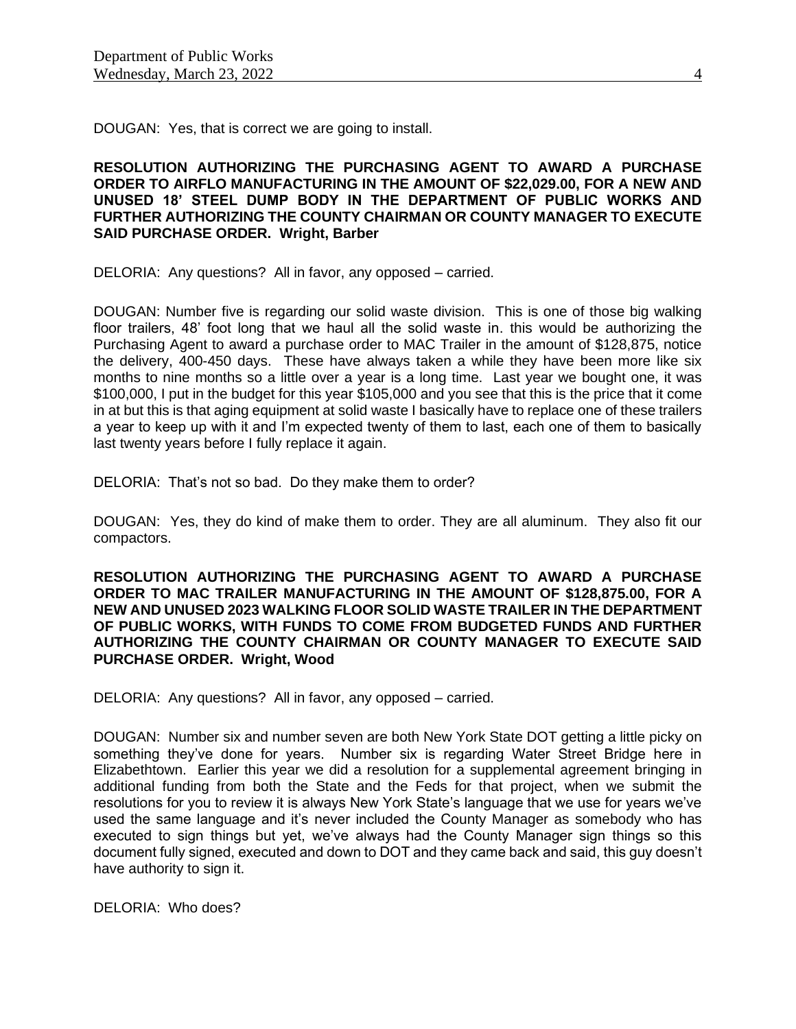DOUGAN: Yes, that is correct we are going to install.

**RESOLUTION AUTHORIZING THE PURCHASING AGENT TO AWARD A PURCHASE ORDER TO AIRFLO MANUFACTURING IN THE AMOUNT OF \$22,029.00, FOR A NEW AND UNUSED 18' STEEL DUMP BODY IN THE DEPARTMENT OF PUBLIC WORKS AND FURTHER AUTHORIZING THE COUNTY CHAIRMAN OR COUNTY MANAGER TO EXECUTE SAID PURCHASE ORDER. Wright, Barber**

DELORIA: Any questions? All in favor, any opposed – carried.

DOUGAN: Number five is regarding our solid waste division. This is one of those big walking floor trailers, 48' foot long that we haul all the solid waste in. this would be authorizing the Purchasing Agent to award a purchase order to MAC Trailer in the amount of \$128,875, notice the delivery, 400-450 days. These have always taken a while they have been more like six months to nine months so a little over a year is a long time. Last year we bought one, it was \$100,000, I put in the budget for this year \$105,000 and you see that this is the price that it come in at but this is that aging equipment at solid waste I basically have to replace one of these trailers a year to keep up with it and I'm expected twenty of them to last, each one of them to basically last twenty years before I fully replace it again.

DELORIA: That's not so bad. Do they make them to order?

DOUGAN: Yes, they do kind of make them to order. They are all aluminum. They also fit our compactors.

**RESOLUTION AUTHORIZING THE PURCHASING AGENT TO AWARD A PURCHASE ORDER TO MAC TRAILER MANUFACTURING IN THE AMOUNT OF \$128,875.00, FOR A NEW AND UNUSED 2023 WALKING FLOOR SOLID WASTE TRAILER IN THE DEPARTMENT OF PUBLIC WORKS, WITH FUNDS TO COME FROM BUDGETED FUNDS AND FURTHER AUTHORIZING THE COUNTY CHAIRMAN OR COUNTY MANAGER TO EXECUTE SAID PURCHASE ORDER. Wright, Wood**

DELORIA: Any questions? All in favor, any opposed – carried.

DOUGAN: Number six and number seven are both New York State DOT getting a little picky on something they've done for years. Number six is regarding Water Street Bridge here in Elizabethtown. Earlier this year we did a resolution for a supplemental agreement bringing in additional funding from both the State and the Feds for that project, when we submit the resolutions for you to review it is always New York State's language that we use for years we've used the same language and it's never included the County Manager as somebody who has executed to sign things but yet, we've always had the County Manager sign things so this document fully signed, executed and down to DOT and they came back and said, this guy doesn't have authority to sign it.

DELORIA: Who does?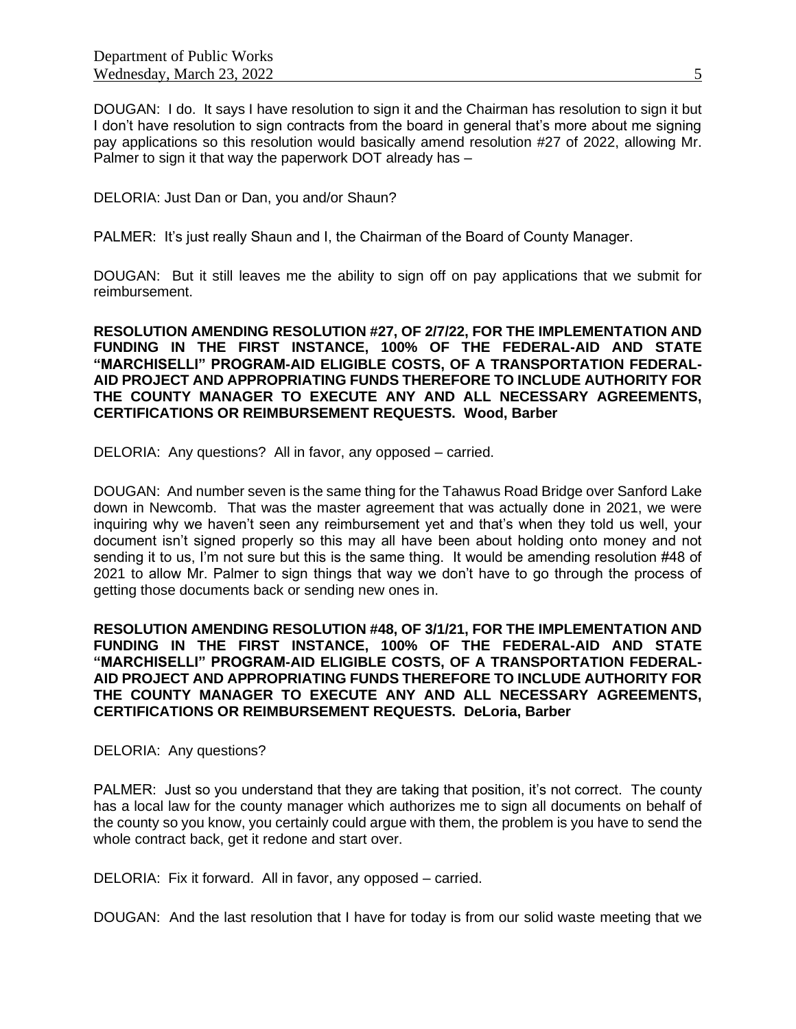DOUGAN: I do. It says I have resolution to sign it and the Chairman has resolution to sign it but I don't have resolution to sign contracts from the board in general that's more about me signing pay applications so this resolution would basically amend resolution #27 of 2022, allowing Mr. Palmer to sign it that way the paperwork DOT already has –

DELORIA: Just Dan or Dan, you and/or Shaun?

PALMER: It's just really Shaun and I, the Chairman of the Board of County Manager.

DOUGAN: But it still leaves me the ability to sign off on pay applications that we submit for reimbursement.

**RESOLUTION AMENDING RESOLUTION #27, OF 2/7/22, FOR THE IMPLEMENTATION AND FUNDING IN THE FIRST INSTANCE, 100% OF THE FEDERAL-AID AND STATE "MARCHISELLI" PROGRAM-AID ELIGIBLE COSTS, OF A TRANSPORTATION FEDERAL-AID PROJECT AND APPROPRIATING FUNDS THEREFORE TO INCLUDE AUTHORITY FOR THE COUNTY MANAGER TO EXECUTE ANY AND ALL NECESSARY AGREEMENTS, CERTIFICATIONS OR REIMBURSEMENT REQUESTS. Wood, Barber**

DELORIA: Any questions? All in favor, any opposed – carried.

DOUGAN: And number seven is the same thing for the Tahawus Road Bridge over Sanford Lake down in Newcomb. That was the master agreement that was actually done in 2021, we were inquiring why we haven't seen any reimbursement yet and that's when they told us well, your document isn't signed properly so this may all have been about holding onto money and not sending it to us, I'm not sure but this is the same thing. It would be amending resolution #48 of 2021 to allow Mr. Palmer to sign things that way we don't have to go through the process of getting those documents back or sending new ones in.

**RESOLUTION AMENDING RESOLUTION #48, OF 3/1/21, FOR THE IMPLEMENTATION AND FUNDING IN THE FIRST INSTANCE, 100% OF THE FEDERAL-AID AND STATE "MARCHISELLI" PROGRAM-AID ELIGIBLE COSTS, OF A TRANSPORTATION FEDERAL-AID PROJECT AND APPROPRIATING FUNDS THEREFORE TO INCLUDE AUTHORITY FOR THE COUNTY MANAGER TO EXECUTE ANY AND ALL NECESSARY AGREEMENTS, CERTIFICATIONS OR REIMBURSEMENT REQUESTS. DeLoria, Barber**

DELORIA: Any questions?

PALMER: Just so you understand that they are taking that position, it's not correct. The county has a local law for the county manager which authorizes me to sign all documents on behalf of the county so you know, you certainly could argue with them, the problem is you have to send the whole contract back, get it redone and start over.

DELORIA: Fix it forward. All in favor, any opposed – carried.

DOUGAN: And the last resolution that I have for today is from our solid waste meeting that we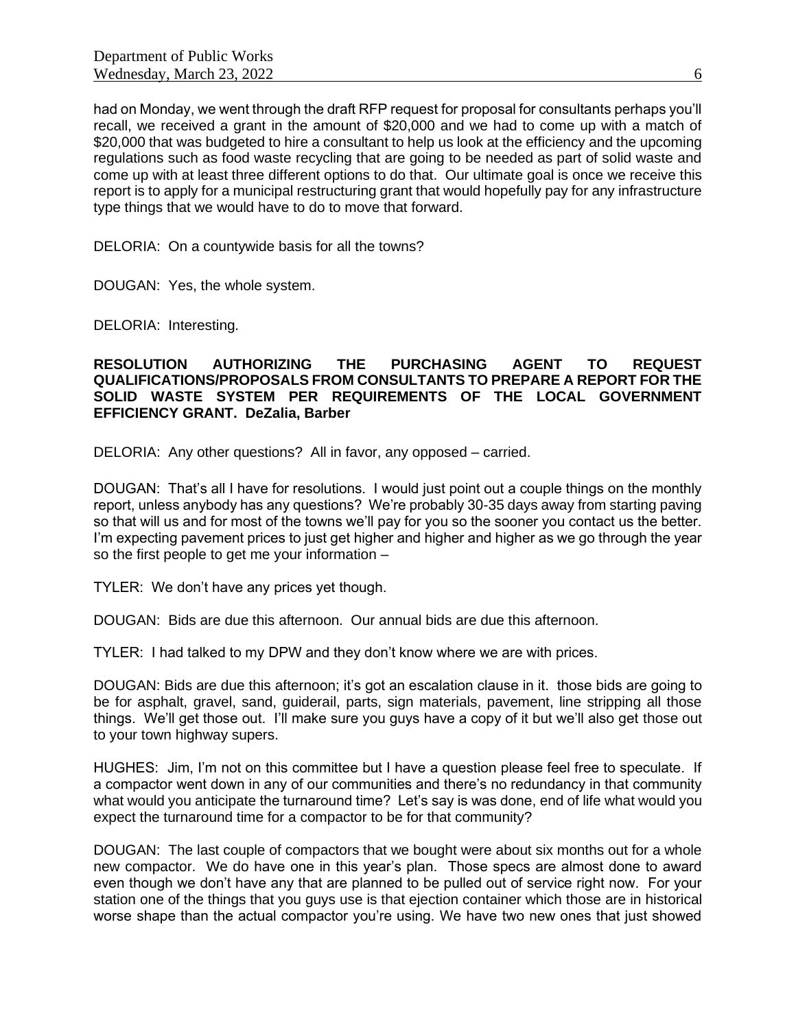had on Monday, we went through the draft RFP request for proposal for consultants perhaps you'll recall, we received a grant in the amount of \$20,000 and we had to come up with a match of \$20,000 that was budgeted to hire a consultant to help us look at the efficiency and the upcoming regulations such as food waste recycling that are going to be needed as part of solid waste and come up with at least three different options to do that. Our ultimate goal is once we receive this report is to apply for a municipal restructuring grant that would hopefully pay for any infrastructure type things that we would have to do to move that forward.

DELORIA: On a countywide basis for all the towns?

DOUGAN: Yes, the whole system.

DELORIA: Interesting.

# **RESOLUTION AUTHORIZING THE PURCHASING AGENT TO REQUEST QUALIFICATIONS/PROPOSALS FROM CONSULTANTS TO PREPARE A REPORT FOR THE SOLID WASTE SYSTEM PER REQUIREMENTS OF THE LOCAL GOVERNMENT EFFICIENCY GRANT. DeZalia, Barber**

DELORIA: Any other questions? All in favor, any opposed – carried.

DOUGAN: That's all I have for resolutions. I would just point out a couple things on the monthly report, unless anybody has any questions? We're probably 30-35 days away from starting paving so that will us and for most of the towns we'll pay for you so the sooner you contact us the better. I'm expecting pavement prices to just get higher and higher and higher as we go through the year so the first people to get me your information –

TYLER: We don't have any prices yet though.

DOUGAN: Bids are due this afternoon. Our annual bids are due this afternoon.

TYLER: I had talked to my DPW and they don't know where we are with prices.

DOUGAN: Bids are due this afternoon; it's got an escalation clause in it. those bids are going to be for asphalt, gravel, sand, guiderail, parts, sign materials, pavement, line stripping all those things. We'll get those out. I'll make sure you guys have a copy of it but we'll also get those out to your town highway supers.

HUGHES: Jim, I'm not on this committee but I have a question please feel free to speculate. If a compactor went down in any of our communities and there's no redundancy in that community what would you anticipate the turnaround time? Let's say is was done, end of life what would you expect the turnaround time for a compactor to be for that community?

DOUGAN: The last couple of compactors that we bought were about six months out for a whole new compactor. We do have one in this year's plan. Those specs are almost done to award even though we don't have any that are planned to be pulled out of service right now. For your station one of the things that you guys use is that ejection container which those are in historical worse shape than the actual compactor you're using. We have two new ones that just showed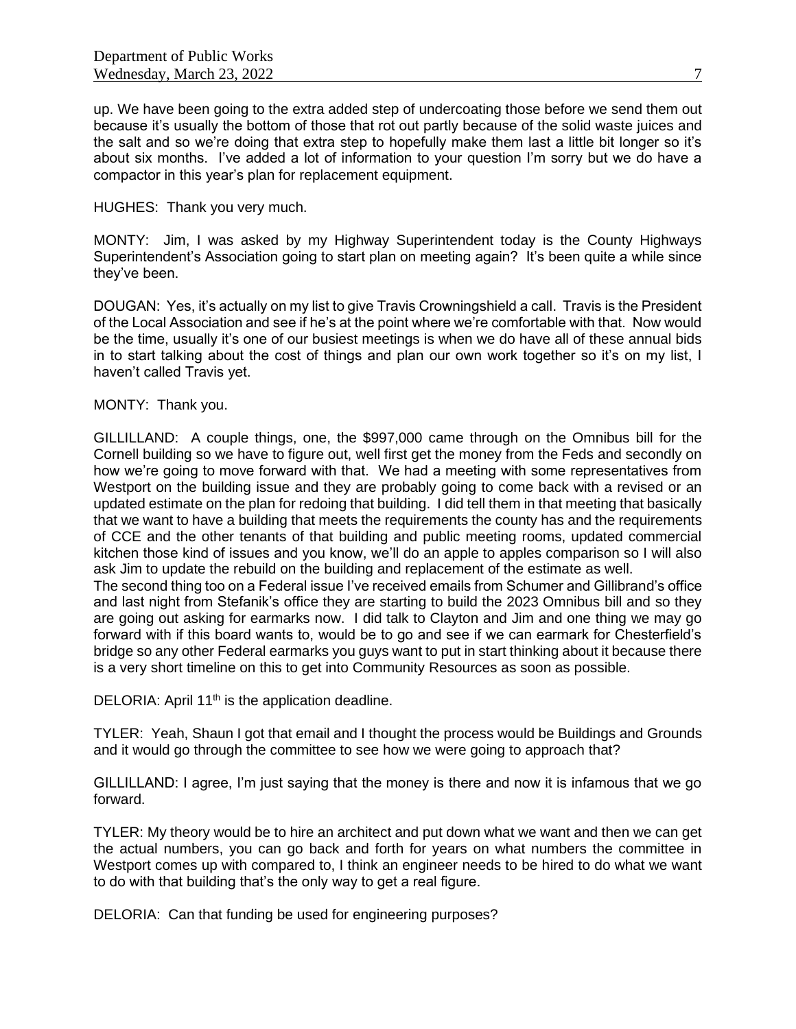up. We have been going to the extra added step of undercoating those before we send them out because it's usually the bottom of those that rot out partly because of the solid waste juices and the salt and so we're doing that extra step to hopefully make them last a little bit longer so it's about six months. I've added a lot of information to your question I'm sorry but we do have a compactor in this year's plan for replacement equipment.

## HUGHES: Thank you very much.

MONTY: Jim, I was asked by my Highway Superintendent today is the County Highways Superintendent's Association going to start plan on meeting again? It's been quite a while since they've been.

DOUGAN: Yes, it's actually on my list to give Travis Crowningshield a call. Travis is the President of the Local Association and see if he's at the point where we're comfortable with that. Now would be the time, usually it's one of our busiest meetings is when we do have all of these annual bids in to start talking about the cost of things and plan our own work together so it's on my list, I haven't called Travis yet.

# MONTY: Thank you.

GILLILLAND: A couple things, one, the \$997,000 came through on the Omnibus bill for the Cornell building so we have to figure out, well first get the money from the Feds and secondly on how we're going to move forward with that. We had a meeting with some representatives from Westport on the building issue and they are probably going to come back with a revised or an updated estimate on the plan for redoing that building. I did tell them in that meeting that basically that we want to have a building that meets the requirements the county has and the requirements of CCE and the other tenants of that building and public meeting rooms, updated commercial kitchen those kind of issues and you know, we'll do an apple to apples comparison so I will also ask Jim to update the rebuild on the building and replacement of the estimate as well.

The second thing too on a Federal issue I've received emails from Schumer and Gillibrand's office and last night from Stefanik's office they are starting to build the 2023 Omnibus bill and so they are going out asking for earmarks now. I did talk to Clayton and Jim and one thing we may go forward with if this board wants to, would be to go and see if we can earmark for Chesterfield's bridge so any other Federal earmarks you guys want to put in start thinking about it because there is a very short timeline on this to get into Community Resources as soon as possible.

DELORIA: April  $11<sup>th</sup>$  is the application deadline.

TYLER: Yeah, Shaun I got that email and I thought the process would be Buildings and Grounds and it would go through the committee to see how we were going to approach that?

GILLILLAND: I agree, I'm just saying that the money is there and now it is infamous that we go forward.

TYLER: My theory would be to hire an architect and put down what we want and then we can get the actual numbers, you can go back and forth for years on what numbers the committee in Westport comes up with compared to, I think an engineer needs to be hired to do what we want to do with that building that's the only way to get a real figure.

DELORIA: Can that funding be used for engineering purposes?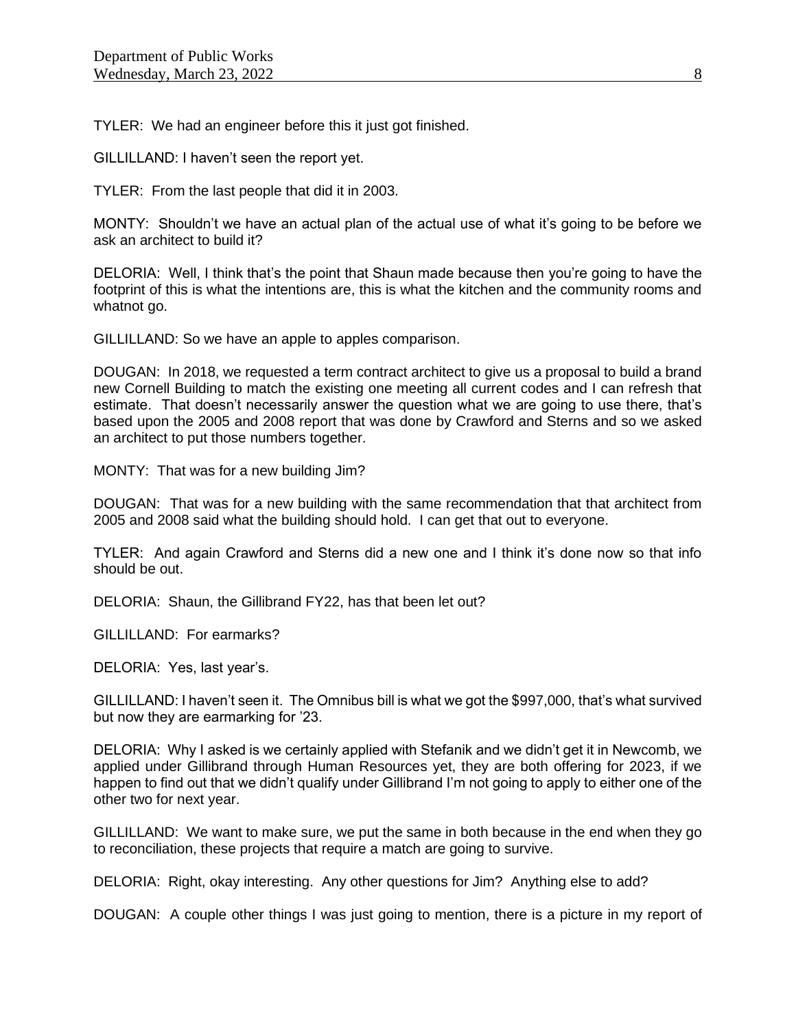TYLER: We had an engineer before this it just got finished.

GILLILLAND: I haven't seen the report yet.

TYLER: From the last people that did it in 2003.

MONTY: Shouldn't we have an actual plan of the actual use of what it's going to be before we ask an architect to build it?

DELORIA: Well, I think that's the point that Shaun made because then you're going to have the footprint of this is what the intentions are, this is what the kitchen and the community rooms and whatnot go.

GILLILLAND: So we have an apple to apples comparison.

DOUGAN: In 2018, we requested a term contract architect to give us a proposal to build a brand new Cornell Building to match the existing one meeting all current codes and I can refresh that estimate. That doesn't necessarily answer the question what we are going to use there, that's based upon the 2005 and 2008 report that was done by Crawford and Sterns and so we asked an architect to put those numbers together.

MONTY: That was for a new building Jim?

DOUGAN: That was for a new building with the same recommendation that that architect from 2005 and 2008 said what the building should hold. I can get that out to everyone.

TYLER: And again Crawford and Sterns did a new one and I think it's done now so that info should be out.

DELORIA: Shaun, the Gillibrand FY22, has that been let out?

GILLILLAND: For earmarks?

DELORIA: Yes, last year's.

GILLILLAND: I haven't seen it. The Omnibus bill is what we got the \$997,000, that's what survived but now they are earmarking for '23.

DELORIA: Why I asked is we certainly applied with Stefanik and we didn't get it in Newcomb, we applied under Gillibrand through Human Resources yet, they are both offering for 2023, if we happen to find out that we didn't qualify under Gillibrand I'm not going to apply to either one of the other two for next year.

GILLILLAND: We want to make sure, we put the same in both because in the end when they go to reconciliation, these projects that require a match are going to survive.

DELORIA: Right, okay interesting. Any other questions for Jim? Anything else to add?

DOUGAN: A couple other things I was just going to mention, there is a picture in my report of